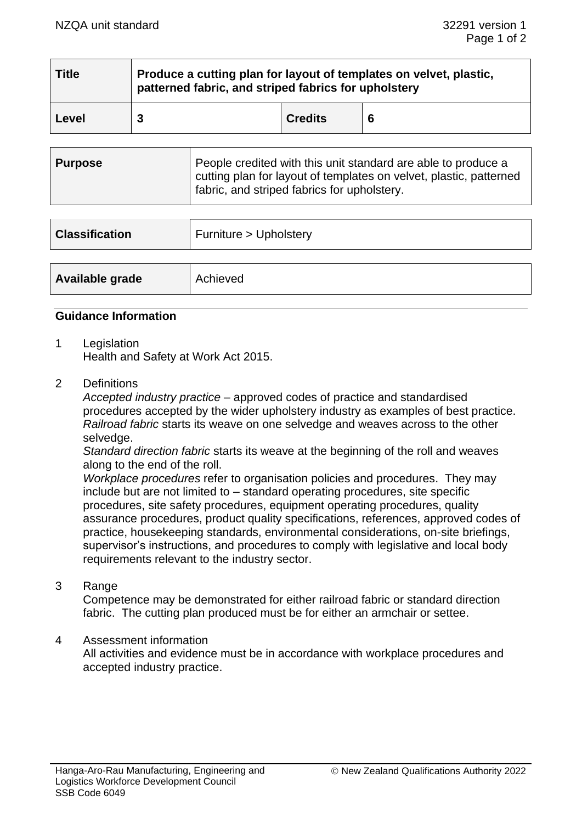| <b>Title</b> | Produce a cutting plan for layout of templates on velvet, plastic,<br>patterned fabric, and striped fabrics for upholstery |                |   |
|--------------|----------------------------------------------------------------------------------------------------------------------------|----------------|---|
| Level        |                                                                                                                            | <b>Credits</b> | 6 |

| <b>Purpose</b> | People credited with this unit standard are able to produce a<br>cutting plan for layout of templates on velvet, plastic, patterned<br>I fabric, and striped fabrics for upholstery. |
|----------------|--------------------------------------------------------------------------------------------------------------------------------------------------------------------------------------|
|                |                                                                                                                                                                                      |

| <b>Classification</b> | Furniture > Upholstery |  |
|-----------------------|------------------------|--|
|                       |                        |  |
| Available grade       | Achieved               |  |

## **Guidance Information**

1 Legislation

Health and Safety at Work Act 2015.

2 Definitions

*Accepted industry practice* – approved codes of practice and standardised procedures accepted by the wider upholstery industry as examples of best practice. *Railroad fabric* starts its weave on one selvedge and weaves across to the other selvedge.

*Standard direction fabric* starts its weave at the beginning of the roll and weaves along to the end of the roll.

*Workplace procedures* refer to organisation policies and procedures. They may include but are not limited to – standard operating procedures, site specific procedures, site safety procedures, equipment operating procedures, quality assurance procedures, product quality specifications, references, approved codes of practice, housekeeping standards, environmental considerations, on-site briefings, supervisor's instructions, and procedures to comply with legislative and local body requirements relevant to the industry sector.

3 Range

Competence may be demonstrated for either railroad fabric or standard direction fabric. The cutting plan produced must be for either an armchair or settee.

#### 4 Assessment information

All activities and evidence must be in accordance with workplace procedures and accepted industry practice.